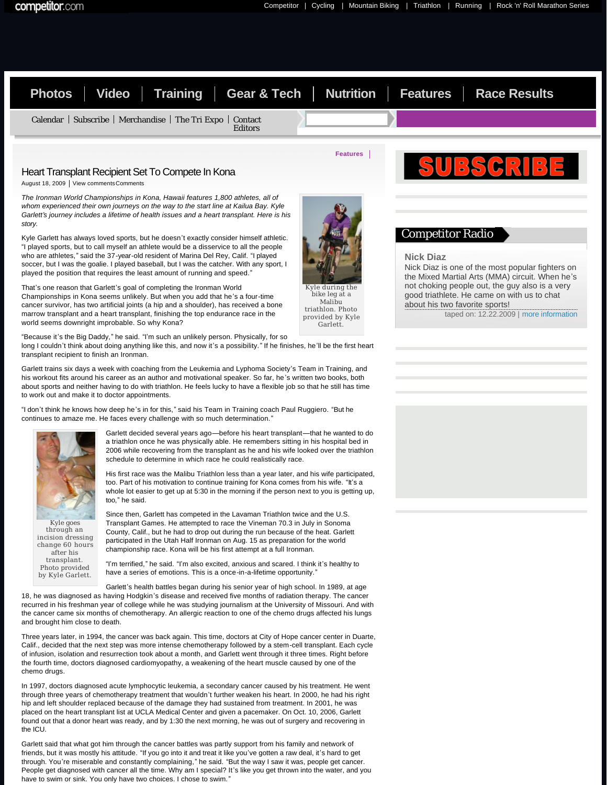story.



# Competitor Radio

## **Nick Diaz**

Nick Diaz is one of the most popular fighters on the Mixed Martial Arts (MMA) circuit. When he's not choking people out, the guy also is a very good triathlete. He came on with us to chat about his two favorite sports!

taped on: 12.22.2009 | [more information](http://competitorradio.competitor.com/2009/12/nick-diaz/)

soccer, but I was the goalie. I played baseball, but I was the catcher. With any sport, I played the position that requires the least amount of running and speed." That's one reason that Garlett's goal of completing the Ironman World Championships in Kona seems unlikely. But when you add that he's a four-time cancer survivor, has two artificial joints (a hip and a shoulder), has received a bone

marrow transplant and a heart transplant, finishing the top endurance race in the world seems downright improbable. So why Kona? "Because it's the Big Daddy," he said. "I'm such an unlikely person. Physically, for so

Kyle Garlett has always loved sports, but he doesn't exactly consider himself athletic. "I played sports, but to call myself an athlete would be a disservice to all the people who are athletes," said the 37-year-old resident of Marina Del Rey, Calif. "I played

long I couldn't think about doing anything like this, and now it's a possibility." If he finishes, he'll be the first heart transplant recipient to finish an Ironman.

Garlett trains six days a week with coaching from the Leukemia and Lyphoma Society's Team in Training, and his workout fits around his career as an author and motivational speaker. So far, he's written two books, both about sports and neither having to do with triathlon. He feels lucky to have a flexible job so that he still has time to work out and make it to doctor appointments.

"I don't think he knows how deep he's in for this," said his Team in Training coach Paul Ruggiero. "But he continues to amaze me. He faces every challenge with so much determination.'



Photo provided by Kyle Garlett. Garlett decided several years ago—before his heart transplant—that he wanted to do a triathlon once he was physically able. He remembers sitting in his hospital bed in 2006 while recovering from the transplant as he and his wife looked over the triathlon schedule to determine in which race he could realistically race.

His first race was the Malibu Triathlon less than a year later, and his wife participated, too. Part of his motivation to continue training for Kona comes from his wife. "It's a whole lot easier to get up at 5:30 in the morning if the person next to you is getting up, too," he said.

Since then, Garlett has competed in the Lavaman Triathlon twice and the U.S. Transplant Games. He attempted to race the Vineman 70.3 in July in Sonoma County, Calif., but he had to drop out during the run because of the heat. Garlett participated in the Utah Half Ironman on Aug. 15 as preparation for the world championship race. Kona will be his first attempt at a full Ironman.

"I'm terrified," he said. "I'm also excited, anxious and scared. I think it's healthy to have a series of emotions. This is a once-in-a-lifetime opportunity."

Garlett's health battles began during his senior year of high school. In 1989, at age

18, he was diagnosed as having Hodgkin's disease and received five months of radiation therapy. The cancer recurred in his freshman year of college while he was studying journalism at the University of Missouri. And with the cancer came six months of chemotherapy. An allergic reaction to one of the chemo drugs affected his lungs and brought him close to death.

Three years later, in 1994, the cancer was back again. This time, doctors at City of Hope cancer center in Duarte, Calif., decided that the next step was more intense chemotherapy followed by a stem-cell transplant. Each cycle of infusion, isolation and resurrection took about a month, and Garlett went through it three times. Right before the fourth time, doctors diagnosed cardiomyopathy, a weakening of the heart muscle caused by one of the chemo drugs.

In 1997, doctors diagnosed acute lymphocytic leukemia, a secondary cancer caused by his treatment. He went through three years of chemotherapy treatment that wouldn't further weaken his heart. In 2000, he had his right hip and left shoulder replaced because of the damage they had sustained from treatment. In 2001, he was placed on the heart transplant list at UCLA Medical Center and given a pacemaker. On Oct. 10, 2006, Garlett found out that a donor heart was ready, and by 1:30 the next morning, he was out of surgery and recovering in the ICU.

Garlett said that what got him through the cancer battles was partly support from his family and network of friends, but it was mostly his attitude. "If you go into it and treat it like you've gotten a raw deal, it's hard to get through. You're miserable and constantly complaining," he said. "But the way I saw it was, people get cancer. People get diagnosed with cancer all the time. Why am I special? It's like you get thrown into the water, and you have to swim or sink. You only have two choices. I chose to swim.'



Kyle during the Malibu triathlon. Photo provided by Kyle Garlett.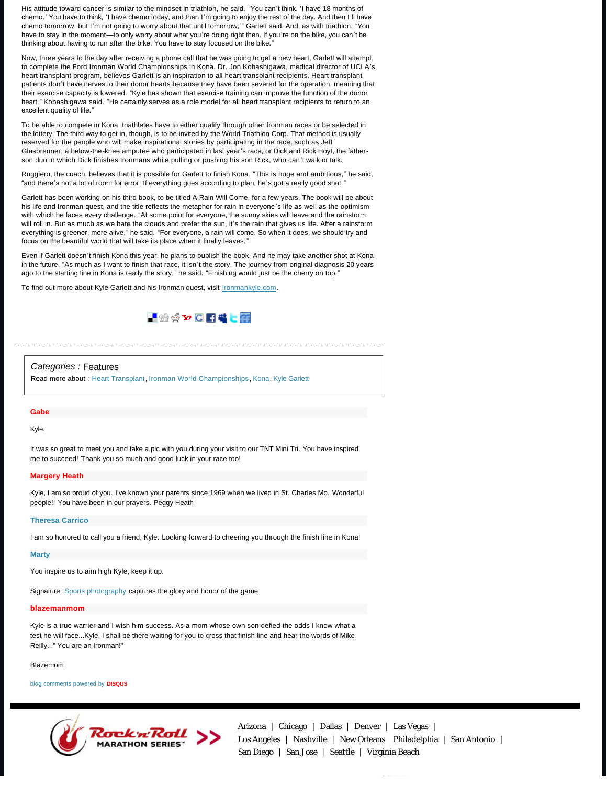His attitude toward cancer is similar to the mindset in triathlon, he said. "You can't think, 'I have 18 months of chemo.' You have to think, 'I have chemo today, and then I'm going to enjoy the rest of the day. And then I'll have chemo tomorrow, but I'm not going to worry about that until tomorrow,'" Garlett said. And, as with triathlon, "You have to stay in the moment—to only worry about what you're doing right then. If you're on the bike, you can't be thinking about having to run after the bike. You have to stay focused on the bike."

Now, three years to the day after receiving a phone call that he was going to get a new heart, Garlett will attempt to complete the Ford Ironman World Championships in Kona. Dr. Jon Kobashigawa, medical director of UCLA's heart transplant program, believes Garlett is an inspiration to all heart transplant recipients. Heart transplant patients don't have nerves to their donor hearts because they have been severed for the operation, meaning that their exercise capacity is lowered. "Kyle has shown that exercise training can improve the function of the donor heart," Kobashigawa said. "He certainly serves as a role model for all heart transplant recipients to return to an excellent quality of life."

To be able to compete in Kona, triathletes have to either qualify through other Ironman races or be selected in the lottery. The third way to get in, though, is to be invited by the World Triathlon Corp. That method is usually reserved for the people who will make inspirational stories by participating in the race, such as Jeff Glasbrenner, a below-the-knee amputee who participated in last year's race, or Dick and Rick Hoyt, the fatherson duo in which Dick finishes Ironmans while pulling or pushing his son Rick, who can't walk or talk.

Ruggiero, the coach, believes that it is possible for Garlett to finish Kona. "This is huge and ambitious," he said, "and there's not a lot of room for error. If everything goes according to plan, he's got a really good shot."

Garlett has been working on his third book, to be titled A Rain Will Come, for a few years. The book will be about his life and Ironman quest, and the title reflects the metaphor for rain in everyone's life as well as the optimism with which he faces every challenge. "At some point for everyone, the sunny skies will leave and the rainstorm will roll in. But as much as we hate the clouds and prefer the sun, it's the rain that gives us life. After a rainstorm everything is greener, more alive," he said. "For everyone, a rain will come. So when it does, we should try and focus on the beautiful world that will take its place when it finally leaves.'

Even if Garlett doesn't finish Kona this year, he plans to publish the book. And he may take another shot at Kona in the future. "As much as I want to finish that race, it isn't the story. The journey from original diagnosis 20 years ago to the starting line in Kona is really the story," he said. "Finishing would just be the cherry on top."

To find out more about Kyle Garlett and his Ironman quest, visit **[Ironmankyle.com](http://www.ironmankyle.com/)**.



### Categories : [Features](http://triathlon.competitor.com/?cat=31)

Read more about : [Heart Transplant,](http://triathlon.competitor.com/?tag=heart-transplant) [Ironman World Championships,](http://triathlon.competitor.com/?tag=ironman-world-championships) [Kona](http://triathlon.competitor.com/?tag=kona), [Kyle Garlett](http://triathlon.competitor.com/?tag=kyle-garlett)

#### **Gabe**

## Kyle,

It was so great to meet you and take a pic with you during your visit to our TNT Mini Tri. You have inspired me to succeed! Thank you so much and good luck in your race too!

#### **Margery Heath**

Kyle, I am so proud of you. I've known your parents since 1969 when we lived in St. Charles Mo. Wonderful people!! You have been in our prayers. Peggy Heath

#### **[Theresa Carrico](http://www.facebook.com/people/Theresa-Carrico/1154307768)**

I am so honored to call you a friend, Kyle. Looking forward to cheering you through the finish line in Kona!

### **[Marty](http://www.blinqphotography.com/)**

You inspire us to aim high Kyle, keep it up.

Signature: [Sports photography](http://www.blinqphotography.com/) captures the glory and honor of the game

## **blazemanmom**

Kyle is a true warrier and I wish him success. As a mom whose own son defied the odds I know what a test he will face...Kyle, I shall be there waiting for you to cross that finish line and hear the words of Mike Reilly..." You are an Ironman!"

Blazemom

[blog comments powered by](http://disqus.com/) **DISQUS**



[Arizona |](http://runrocknroll.competitor.com/los-angeles/) [Chicago](http://chicago.competitor.com/) | [Dallas](http://dallas.competitor.com/) | [Denver](http://www.denvermarathon.com/) | [Las Vegas |](http://philadelphia.competitor.com/)<br>Los Angeles | Nashville | New Orleans Philadelphia | San Antonio | [Los Angele](http://www.rnrmarathon.com/)s | [Nashville](http://nashville.competitor.com/) | [New Orleans](http://mardi-gras.competitor.com/) Philadelphia | [San Antonio](http://san-antonio.competitor.com/) |  $S_{\alpha}$  , san Jose I seattle  $\beta$